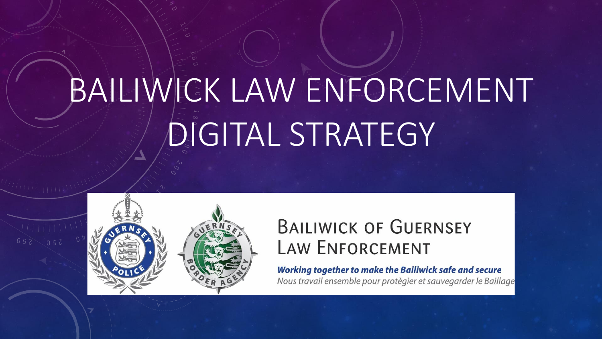# BAILIWICK LAW ENFORCEMENT **DIGITAL STRATEGY**



# **BAILIWICK OF GUERNSEY LAW ENFORCEMENT**

**Working together to make the Bailiwick safe and secure** 

Nous travail ensemble pour protègier et sauvegarder le Baillage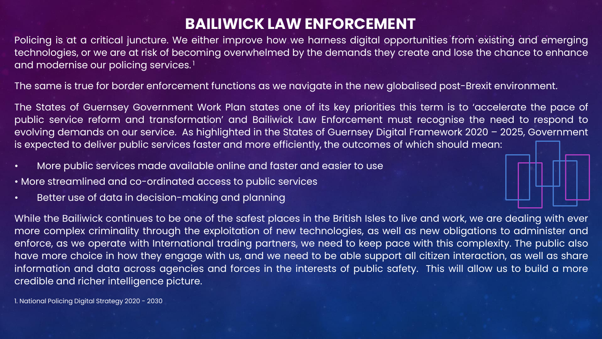# **BAILIWICK LAW ENFORCEMENT**

Policing is at a critical juncture. We either improve how we harness digital opportunities from existing and emerging technologies, or we are at risk of becoming overwhelmed by the demands they create and lose the chance to enhance and modernise our policing services. 1

The same is true for border enforcement functions as we navigate in the new globalised post-Brexit environment.

The States of Guernsey Government Work Plan states one of its key priorities this term is to 'accelerate the pace of public service reform and transformation' and Bailiwick Law Enforcement must recognise the need to respond to evolving demands on our service. As highlighted in the States of Guernsey Digital Framework 2020 – 2025, Government is expected to deliver public services faster and more efficiently, the outcomes of which should mean:

- More public services made available online and faster and easier to use
- More streamlined and co-ordinated access to public services
- Better use of data in decision-making and planning

While the Bailiwick continues to be one of the safest places in the British Isles to live and work, we are dealing with ever more complex criminality through the exploitation of new technologies, as well as new obligations to administer and enforce, as we operate with International trading partners, we need to keep pace with this complexity. The public also have more choice in how they engage with us, and we need to be able support all citizen interaction, as well as share information and data across agencies and forces in the interests of public safety. This will allow us to build a more credible and richer intelligence picture.

1. National Policing Digital Strategy 2020 - 2030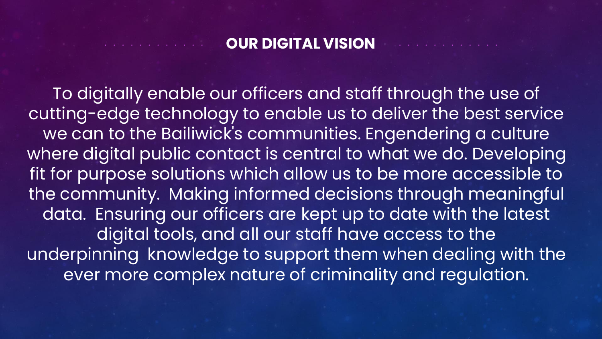#### **OUR DIGITAL VISION**

To digitally enable our officers and staff through the use of cutting-edge technology to enable us to deliver the best service we can to the Bailiwick's communities. Engendering a culture where digital public contact is central to what we do. Developing fit for purpose solutions which allow us to be more accessible to the community. Making informed decisions through meaningful data. Ensuring our officers are kept up to date with the latest digital tools, and all our staff have access to the underpinning knowledge to support them when dealing with the ever more complex nature of criminality and regulation.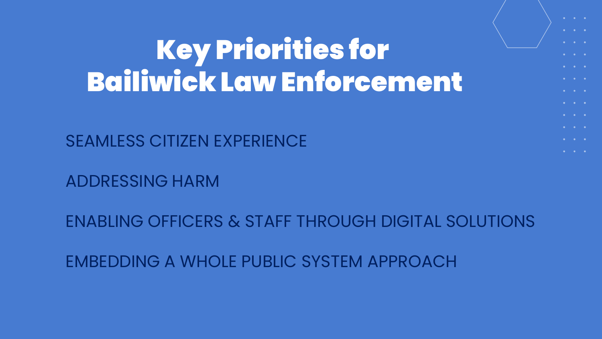# Key Priorities for Bailiwick Law Enforcement

SEAMLESS CITIZEN EXPERIENCE

ADDRESSING HARM

ENABLING OFFICERS & STAFF THROUGH DIGITAL SOLUTIONS

EMBEDDING A WHOLE PUBLIC SYSTEM APPROACH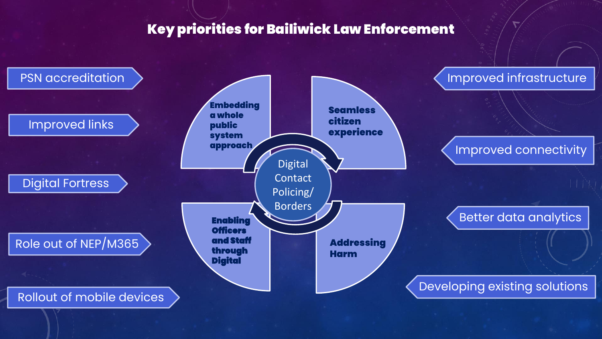## **Key priorities for Bailiwick Law Enforcement**

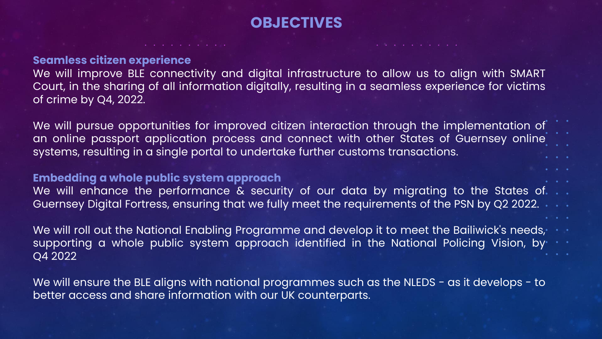#### **OBJECTIVES**

#### **Seamless citizen experience**

We will improve BLE connectivity and digital infrastructure to allow us to align with SMART Court, in the sharing of all information digitally, resulting in a seamless experience for victims of crime by Q4, 2022.

We will pursue opportunities for improved citizen interaction through the implementation of an online passport application process and connect with other States of Guernsey online systems, resulting in a single portal to undertake further customs transactions.

#### **Embedding a whole public system approach**

We will enhance the performance & security of our data by migrating to the States of. Guernsey Digital Fortress, ensuring that we fully meet the requirements of the PSN by Q2 2022.

We will roll out the National Enabling Programme and develop it to meet the Bailiwick's needs, supporting a whole public system approach identified in the National Policing Vision, by Q4 2022

We will ensure the BLE aligns with national programmes such as the NLEDS - as it develops - to better access and share information with our UK counterparts.